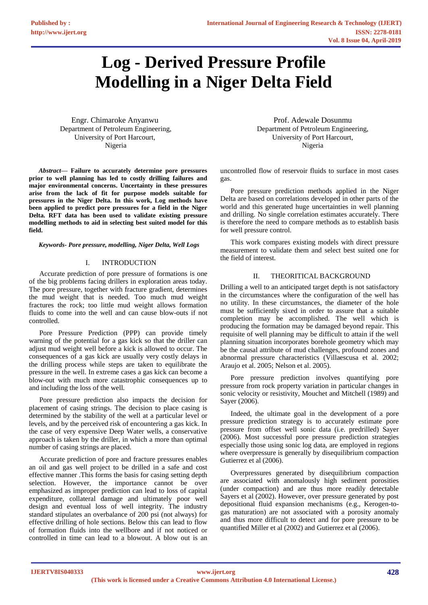# **Log - Derived Pressure Profile Modelling in a Niger Delta Field**

Engr. Chimaroke Anyanwu Department of Petroleum Engineering, University of Port Harcourt, Nigeria

*Abstract***— Failure to accurately determine pore pressures prior to well planning has led to costly drilling failures and major environmental concerns. Uncertainty in these pressures arise from the lack of fit for purpose models suitable for pressures in the Niger Delta. In this work, Log methods have been applied to predict pore pressures for a field in the Niger Delta. RFT data has been used to validate existing pressure modelling methods to aid in selecting best suited model for this field.**

*Keywords- Pore pressure, modelling, Niger Delta, Well Logs* 

# I. INTRODUCTION

Accurate prediction of pore pressure of formations is one of the big problems facing drillers in exploration areas today. The pore pressure, together with fracture gradient, determines the mud weight that is needed. Too much mud weight fractures the rock; too little mud weight allows formation fluids to come into the well and can cause blow-outs if not controlled.

Pore Pressure Prediction (PPP) can provide timely warning of the potential for a gas kick so that the driller can adjust mud weight well before a kick is allowed to occur. The consequences of a gas kick are usually very costly delays in the drilling process while steps are taken to equilibrate the pressure in the well. In extreme cases a gas kick can become a blow-out with much more catastrophic consequences up to and including the loss of the well.

Pore pressure prediction also impacts the decision for placement of casing strings. The decision to place casing is determined by the stability of the well at a particular level or levels, and by the perceived risk of encountering a gas kick. In the case of very expensive Deep Water wells, a conservative approach is taken by the driller, in which a more than optimal number of casing strings are placed.

Accurate prediction of pore and fracture pressures enables an oil and gas well project to be drilled in a safe and cost effective manner .This forms the basis for casing setting depth selection. However, the importance cannot be over emphasized as improper prediction can lead to loss of capital expenditure, collateral damage and ultimately poor well design and eventual loss of well integrity. The industry standard stipulates an overbalance of 200 psi (not always) for effective drilling of hole sections. Below this can lead to flow of formation fluids into the wellbore and if not noticed or controlled in time can lead to a blowout. A blow out is an

Prof. Adewale Dosunmu Department of Petroleum Engineering, University of Port Harcourt, Nigeria

uncontrolled flow of reservoir fluids to surface in most cases gas.

Pore pressure prediction methods applied in the Niger Delta are based on correlations developed in other parts of the world and this generated huge uncertainties in well planning and drilling. No single correlation estimates accurately. There is therefore the need to compare methods as to establish basis for well pressure control.

This work compares existing models with direct pressure measurement to validate them and select best suited one for the field of interest.

# II. THEORITICAL BACKGROUND

Drilling a well to an anticipated target depth is not satisfactory in the circumstances where the configuration of the well has no utility. In these circumstances, the diameter of the hole must be sufficiently sixed in order to assure that a suitable completion may be accomplished. The well which is producing the formation may be damaged beyond repair. This requisite of well planning may be difficult to attain if the well planning situation incorporates borehole geometry which may be the causal attribute of mud challenges, profound zones and abnormal pressure characteristics (Villaescusa et al. 2002; Araujo et al. 2005; Nelson et al. 2005).

Pore pressure prediction involves quantifying pore pressure from rock property variation in particular changes in sonic velocity or resistivity, Mouchet and Mitchell (1989) and Sayer (2006).

Indeed, the ultimate goal in the development of a pore pressure prediction strategy is to accurately estimate pore pressure from offset well sonic data (i.e. predrilled) Sayer (2006). Most successful pore pressure prediction strategies especially those using sonic log data, are employed in regions where overpressure is generally by disequilibrium compaction Gutierrez et al (2006).

Overpressures generated by disequilibrium compaction are associated with anomalously high sediment porosities (under compaction) and are thus more readily detectable Sayers et al (2002). However, over pressure generated by post depositional fluid expansion mechanisms (e.g., Kerogen-togas maturation) are not associated with a porosity anomaly and thus more difficult to detect and for pore pressure to be quantified Miller et al (2002) and Gutierrez et al (2006).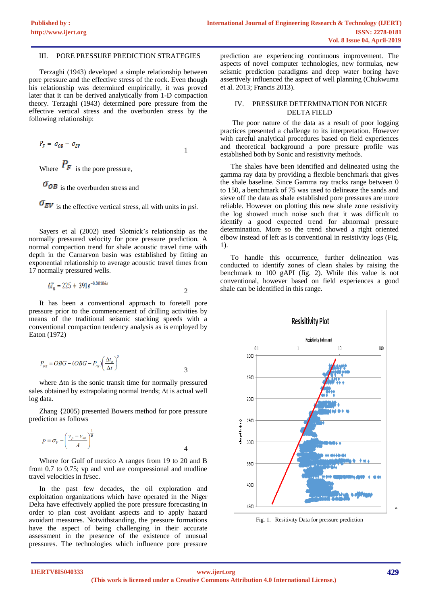## III. PORE PRESSURE PREDICTION STRATEGIES

Terzaghi (1943) developed a simple relationship between pore pressure and the effective stress of the rock. Even though his relationship was determined empirically, it was proved later that it can be derived analytically from 1-D compaction theory. Terzaghi (1943) determined pore pressure from the effective vertical stress and the overburden stress by the following relationship:

$$
P_F = \sigma_{OB} - \sigma_{EV} \tag{1}
$$

Where  $P_F$  is the pore pressure,

 $\sigma_{OB}$  is the overburden stress and

 $\sigma_{EV}$  is the effective vertical stress, all with units in *psi*.

Sayers et al (2002) used Slotnick's relationship as the normally pressured velocity for pore pressure prediction. A normal compaction trend for shale acoustic travel time with depth in the Carnarvon basin was established by fitting an exponential relationship to average acoustic travel times from 17 normally pressured wells.

$$
\Delta T_n = 225 + 391e^{-0.00106z}
$$

It has been a conventional approach to foretell pore pressure prior to the commencement of drilling activities by means of the traditional seismic stacking speeds with a conventional compaction tendency analysis as is employed by Eaton (1972)

$$
P_{pg} = OBG - (OBG - P_{ng}) \left(\frac{\Delta t_n}{\Delta t}\right)^3
$$

where  $\Delta$ tn is the sonic transit time for normally pressured sales obtained by extrapolating normal trends;  $\Delta t$  is actual well log data.

Zhang {2005) presented Bowers method for pore pressure prediction as follows

$$
p = \sigma_V - \left(\frac{v_p - v_{ml}}{A}\right)^{\frac{1}{\beta}}
$$
4

Where for Gulf of mexico A ranges from 19 to 20 and B from 0.7 to 0.75; vp and vml are compressional and mudline travel velocities in ft/sec.

In the past few decades, the oil exploration and exploitation organizations which have operated in the Niger Delta have effectively applied the pore pressure forecasting in order to plan cost avoidant aspects and to apply hazard avoidant measures. Notwithstanding, the pressure formations have the aspect of being challenging in their accurate assessment in the presence of the existence of unusual pressures. The technologies which influence pore pressure prediction are experiencing continuous improvement. The aspects of novel computer technologies, new formulas, new seismic prediction paradigms and deep water boring have assertively influenced the aspect of well planning (Chukwuma et al. 2013; Francis 2013).

# IV. PRESSURE DETERMINATION FOR NIGER DELTA FIELD

The poor nature of the data as a result of poor logging practices presented a challenge to its interpretation. However with careful analytical procedures based on field experiences and theoretical background a pore pressure profile was established both by Sonic and resistivity methods.

The shales have been identified and delineated using the gamma ray data by providing a flexible benchmark that gives the shale baseline. Since Gamma ray tracks range between 0 to 150, a benchmark of 75 was used to delineate the sands and sieve off the data as shale established pore pressures are more reliable. However on plotting this new shale zone resistivity the log showed much noise such that it was difficult to identify a good expected trend for abnormal pressure determination. More so the trend showed a right oriented elbow instead of left as is conventional in resistivity logs (Fig. 1).

To handle this occurrence, further delineation was conducted to identify zones of clean shales by raising the benchmark to 100 gAPI (fig. 2). While this value is not conventional, however based on field experiences a good shale can be identified in this range.



Fig. 1. Resitivity Data for pressure prediction

a.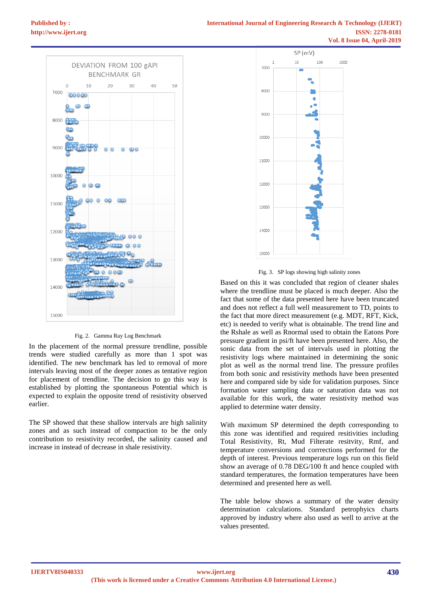

Fig. 2. Gamma Ray Log Benchmark

In the placement of the normal pressure trendline, possible trends were studied carefully as more than 1 spot was identified. The new benchmark has led to removal of more intervals leaving most of the deeper zones as tentative region for placement of trendline. The decision to go this way is established by plotting the spontaneous Potential which is expected to explain the opposite trend of resistivity observed earlier.

The SP showed that these shallow intervals are high salinity zones and as such instead of compaction to be the only contribution to resistivity recorded, the salinity caused and increase in instead of decrease in shale resistivity.



Fig. 3. SP logs showing high salinity zones

Based on this it was concluded that region of cleaner shales where the trendline must be placed is much deeper. Also the fact that some of the data presented here have been truncated and does not reflect a full well measurement to TD, points to the fact that more direct measurement (e.g. MDT, RFT, Kick, etc) is needed to verify what is obtainable. The trend line and the Rshale as well as Rnormal used to obtain the Eatons Pore pressure gradient in psi/ft have been presented here. Also, the sonic data from the set of intervals used in plotting the resistivity logs where maintained in determining the sonic plot as well as the normal trend line. The pressure profiles from both sonic and resistivity methods have been presented here and compared side by side for validation purposes. Since formation water sampling data or saturation data was not available for this work, the water resistivity method was applied to determine water density.

With maximum SP determined the depth corresponding to this zone was identified and required resitivities including Total Resistivity, Rt, Mud Filterate resitvity, Rmf, and temperature conversions and corrrections performed for the depth of interest. Previous temperature logs run on this field show an average of 0.78 DEG/100 ft and hence coupled with standard temperatures, the formation temperatures have been determined and presented here as well.

The table below shows a summary of the water density determination calculations. Standard petrophyics charts approved by industry where also used as well to arrive at the values presented.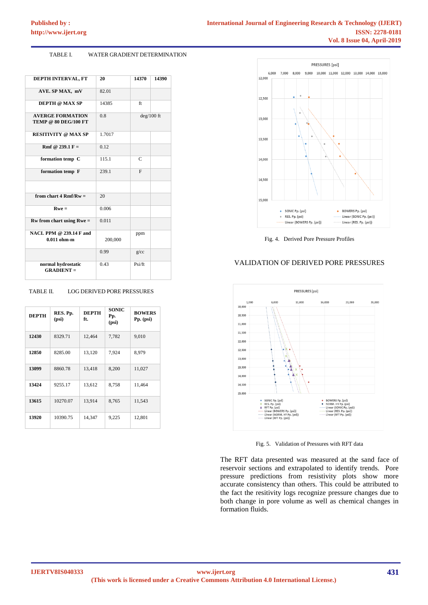#### TABLE I. WATER GRADIENT DETERMINATION

| DEPTH INTERVAL, FT                                     | 20      | 14370        | 14390 |
|--------------------------------------------------------|---------|--------------|-------|
| AVE. SP MAX, mV                                        | 82.01   |              |       |
| <b>DEPTH @ MAX SP</b>                                  | 14385   | ft           |       |
| <b>AVERGE FORMATION</b><br><b>TEMP @ 80 DEG/100 FT</b> | 0.8     | $deg/100$ ft |       |
| <b>RESITIVITY @ MAX SP</b>                             | 1.7017  |              |       |
| Rmf @ 239.1 F =                                        | 0.12    |              |       |
| formation temp C                                       | 115.1   | C            |       |
| formation temp F                                       | 239.1   | $\mathbf{F}$ |       |
|                                                        |         |              |       |
| from chart 4 $Rmf/Rw =$                                | 20      |              |       |
| $Rwe =$                                                | 0.006   |              |       |
| $Rw$ from chart using $Rwe =$                          | 0.011   |              |       |
| NACL PPM @ 239.14 F and<br>$0.011$ ohm-m               | 200,000 | ppm          |       |
|                                                        | 0.99    | g/cc         |       |
| normal hydrostatic<br>$GRAPH =$                        | 0.43    | Psi/ft       |       |

# TABLE II. LOG DERIVED PORE PRESSURES

| <b>DEPTH</b> | RES. Pp.<br>(psi) | <b>DEPTH</b><br>ft. | <b>SONIC</b><br>Pp.<br>(psi) | <b>BOWERS</b><br>Pp. (psi) |
|--------------|-------------------|---------------------|------------------------------|----------------------------|
| 12430        | 8329.71           | 12,464              | 7,782                        | 9,010                      |
| 12850        | 8285.00           | 13,120              | 7,924                        | 8,979                      |
| 13099        | 8860.78           | 13,418              | 8,200                        | 11,027                     |
| 13424        | 9255.17           | 13,612              | 8,758                        | 11,464                     |
| 13615        | 10270.07          | 13,914              | 8,765                        | 11,543                     |
| 13920        | 10390.75          | 14,347              | 9,225                        | 12,801                     |

# PRESSURES [psi] 9,000 10,000 11,000 12,000 13,000 14,000 15,000 7,000 8,000 6,000  $12000$ 12,500 13,000 13,500 14,000 14,500 15,000 SONIC Pp. (psi) • BOWERS Pp. (psi) Linear (SONIC Pp. (psi)) RES. Pp. (psi)  $\circ$ Linear (BOWERS Pp. (psi)) Linear (RES. Pp. (psi))

Fig. 4. Derived Pore Pressure Profiles





Fig. 5. Validation of Pressures with RFT data

The RFT data presented was measured at the sand face of reservoir sections and extrapolated to identify trends. Pore pressure predictions from resistivity plots show more accurate consistency than others. This could be attributed to the fact the resitivity logs recognize pressure changes due to both change in pore volume as well as chemical changes in formation fluids.